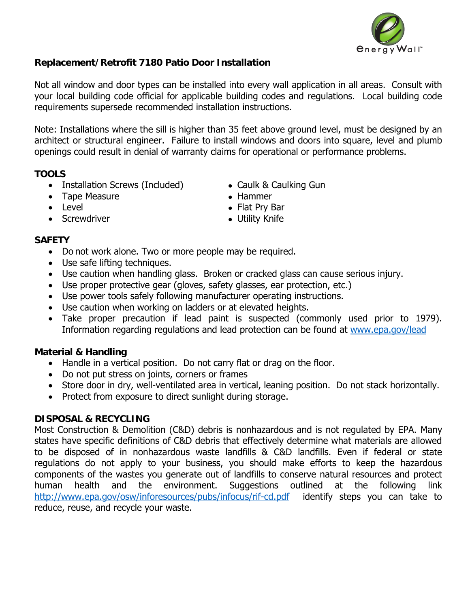

## **Replacement/Retrofit 7180 Patio Door Installation**

Not all window and door types can be installed into every wall application in all areas. Consult with your local building code official for applicable building codes and regulations. Local building code requirements supersede recommended installation instructions.

Note: Installations where the sill is higher than 35 feet above ground level, must be designed by an architect or structural engineer. Failure to install windows and doors into square, level and plumb openings could result in denial of warranty claims for operational or performance problems.

## **TOOLS**

- Installation Screws (Included) Caulk & Caulking Gun
- Tape Measure Nammer
- 
- Screwdriver  **Screwdriver Screwdriver Screwdriver Utility Knife**
- 
- 
- Level Flat Prv Bar
	-

## **SAFETY**

- Do not work alone. Two or more people may be required.
- Use safe lifting techniques.
- Use caution when handling glass. Broken or cracked glass can cause serious injury.
- Use proper protective gear (gloves, safety glasses, ear protection, etc.)
- Use power tools safely following manufacturer operating instructions.
- Use caution when working on ladders or at elevated heights.
- Take proper precaution if lead paint is suspected (commonly used prior to 1979). Information regarding regulations and lead protection can be found at www.epa.gov/lead

# **Material & Handling**

- Handle in a vertical position. Do not carry flat or drag on the floor.
- Do not put stress on joints, corners or frames
- Store door in dry, well-ventilated area in vertical, leaning position. Do not stack horizontally.
- Protect from exposure to direct sunlight during storage.

### **DISPOSAL & RECYCLING**

Most Construction & Demolition (C&D) debris is nonhazardous and is not regulated by EPA. Many states have specific definitions of C&D debris that effectively determine what materials are allowed to be disposed of in nonhazardous waste landfills & C&D landfills. Even if federal or state regulations do not apply to your business, you should make efforts to keep the hazardous components of the wastes you generate out of landfills to conserve natural resources and protect human health and the environment. Suggestions outlined at the following link http://www.epa.gov/osw/inforesources/pubs/infocus/rif-cd.pdf identify steps you can take to reduce, reuse, and recycle your waste.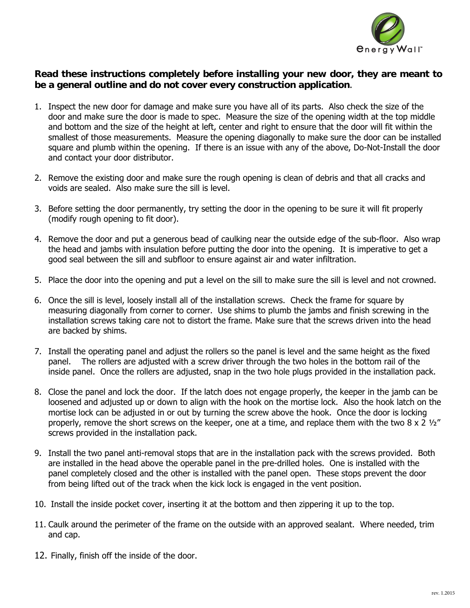

#### **Read these instructions completely before installing your new door, they are meant to be a general outline and do not cover every construction application**.

- 1. Inspect the new door for damage and make sure you have all of its parts. Also check the size of the door and make sure the door is made to spec. Measure the size of the opening width at the top middle and bottom and the size of the height at left, center and right to ensure that the door will fit within the smallest of those measurements. Measure the opening diagonally to make sure the door can be installed square and plumb within the opening. If there is an issue with any of the above, Do-Not-Install the door and contact your door distributor.
- 2. Remove the existing door and make sure the rough opening is clean of debris and that all cracks and voids are sealed. Also make sure the sill is level.
- 3. Before setting the door permanently, try setting the door in the opening to be sure it will fit properly (modify rough opening to fit door).
- 4. Remove the door and put a generous bead of caulking near the outside edge of the sub-floor. Also wrap the head and jambs with insulation before putting the door into the opening. It is imperative to get a good seal between the sill and subfloor to ensure against air and water infiltration.
- 5. Place the door into the opening and put a level on the sill to make sure the sill is level and not crowned.
- 6. Once the sill is level, loosely install all of the installation screws. Check the frame for square by measuring diagonally from corner to corner. Use shims to plumb the jambs and finish screwing in the installation screws taking care not to distort the frame. Make sure that the screws driven into the head are backed by shims.
- 7. Install the operating panel and adjust the rollers so the panel is level and the same height as the fixed panel. The rollers are adjusted with a screw driver through the two holes in the bottom rail of the inside panel. Once the rollers are adjusted, snap in the two hole plugs provided in the installation pack.
- 8. Close the panel and lock the door. If the latch does not engage properly, the keeper in the jamb can be loosened and adjusted up or down to align with the hook on the mortise lock. Also the hook latch on the mortise lock can be adjusted in or out by turning the screw above the hook. Once the door is locking properly, remove the short screws on the keeper, one at a time, and replace them with the two  $8 \times 2 \frac{1}{2}$ " screws provided in the installation pack.
- 9. Install the two panel anti-removal stops that are in the installation pack with the screws provided. Both are installed in the head above the operable panel in the pre-drilled holes. One is installed with the panel completely closed and the other is installed with the panel open. These stops prevent the door from being lifted out of the track when the kick lock is engaged in the vent position.
- 10. Install the inside pocket cover, inserting it at the bottom and then zippering it up to the top.
- 11. Caulk around the perimeter of the frame on the outside with an approved sealant. Where needed, trim and cap.
- 12. Finally, finish off the inside of the door.